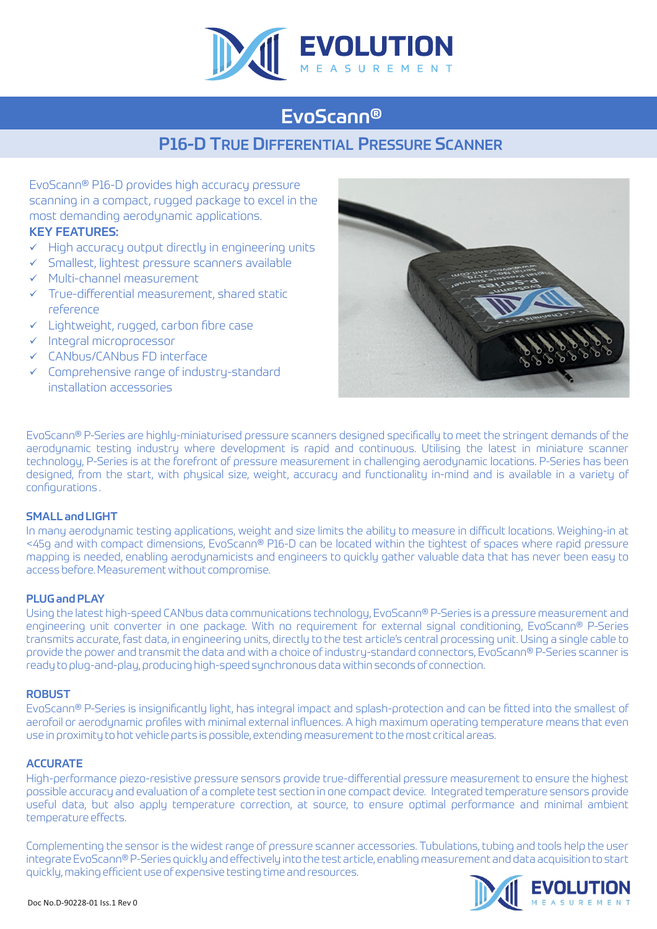

# EvoScann®

## P16-D TRUE DIFFERENTIAL PRESSURE SCANNER

EvoScann® P16-D provides high accuracy pressure scanning in a compact, rugged package to excel in the most demanding aerodynamic applications.

### KEY FEATURES:

- $\checkmark$  High accuracy output directly in engineering units
- $\checkmark$  Smallest, lightest pressure scanners available
- $\nu$  Multi-channel measurement
- $\checkmark$  True-differential measurement, shared static reference
- $\checkmark$  Lightweight, rugged, carbon fibre case
- $\checkmark$  Integral microprocessor
- $\checkmark$  CANbus/CANbus FD interface
- $\checkmark$  Comprehensive range of industry-standard installation accessories



EvoScann® P-Series are highly-miniaturised pressure scanners designed specifically to meet the stringent demands of the aerodynamic testing industry where development is rapid and continuous. Utilising the latest in miniature scanner technology, P-Series is at the forefront of pressure measurement in challenging aerodynamic locations. P-Series has been designed, from the start, with physical size, weight, accuracy and functionality in-mind and is available in a variety of configurations .

#### SMALL and LIGHT

In many aerodynamic testing applications, weight and size limits the ability to measure in difficult locations. Weighing-in at <45g and with compact dimensions, EvoScann® P16-D can be located within the tightest of spaces where rapid pressure mapping is needed, enabling aerodynamicists and engineers to quickly gather valuable data that has never been easy to access before. Measurement without compromise.

#### PLUG and PLAY

Using the latest high-speed CANbus data communications technology, EvoScann® P-Series is a pressure measurement and engineering unit converter in one package. With no requirement for external signal conditioning, EvoScann® P-Series transmits accurate, fast data, in engineering units, directly to the test article's central processing unit. Using a single cable to provide the power and transmit the data and with a choice of industry-standard connectors, EvoScann® P-Series scanner is ready to plug-and-play, producing high-speed synchronous data within seconds of connection.

#### ROBUST

EvoScann® P-Series is insignificantly light, has integral impact and splash-protection and can be fitted into the smallest of aerofoil or aerodynamic profiles with minimal external influences. A high maximum operating temperature means that even use in proximity to hot vehicle parts is possible, extending measurement to the most critical areas.

#### **ACCURATE**

High-performance piezo-resistive pressure sensors provide true-differential pressure measurement to ensure the highest possible accuracy and evaluation of a complete test section in one compact device. Integrated temperature sensors provide useful data, but also apply temperature correction, at source, to ensure optimal performance and minimal ambient temperature effects.

Complementing the sensor is the widest range of pressure scanner accessories. Tubulations, tubing and tools help the user integrate EvoScann® P-Series quickly and effectively into the test article, enabling measurement and data acquisition to start quickly, making efficient use of expensive testing time and resources.